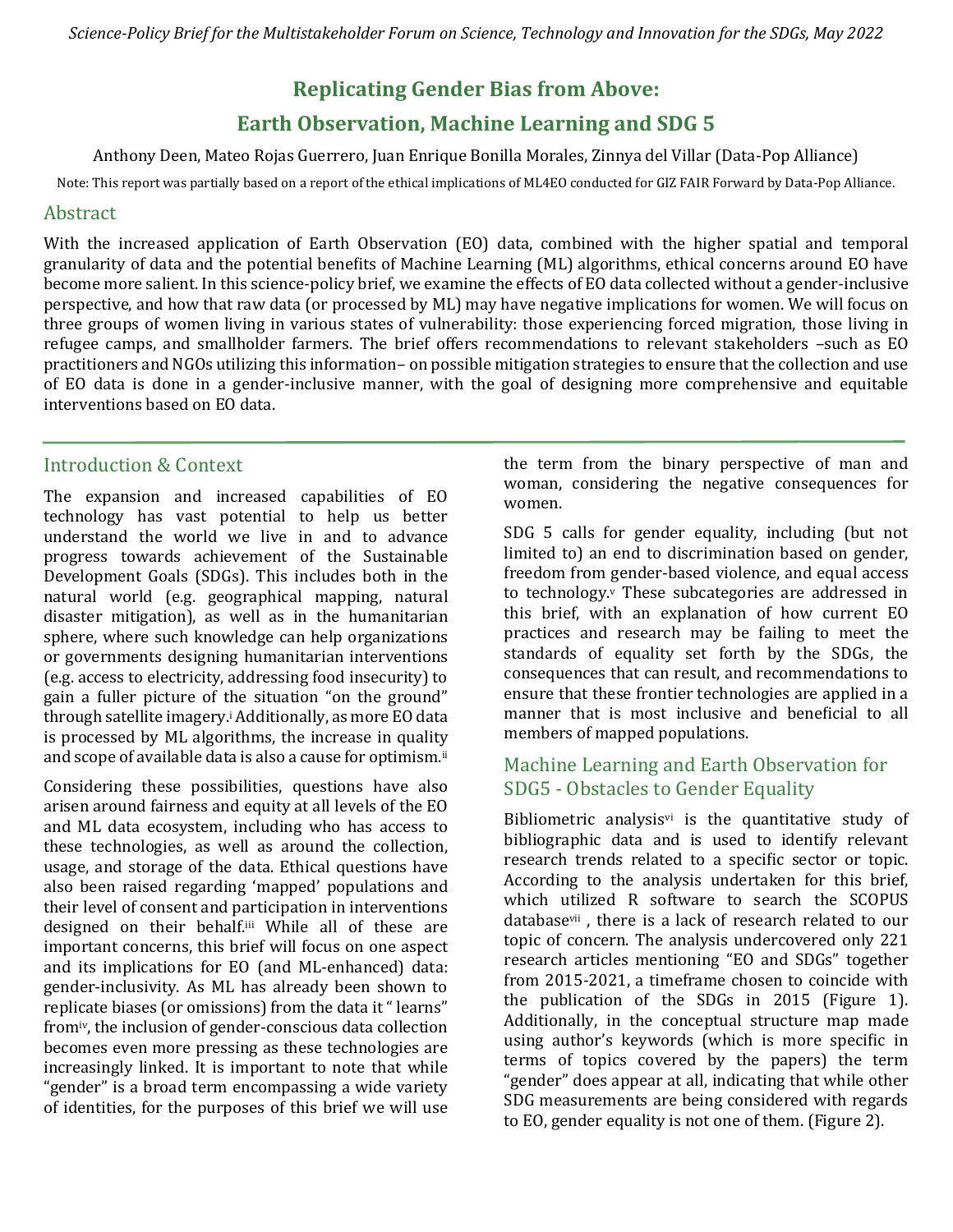# **Replicating Gender Bias from Above:**

# **Earth Observation, Machine Learning and SDG 5**

Anthony Deen, Mateo Rojas Guerrero, Juan Enrique Bonilla Morales, Zinnya del Villar (Data-Pop Alliance)

Note: This report was partially based on a report of the ethical implications of ML4EO conducted for GIZ FAIR Forward by Data-Pop Alliance.

### Abstract

With the increased application of Earth Observation (EO) data, combined with the higher spatial and temporal granularity of data and the potential benefits of Machine Learning (ML) algorithms, ethical concerns around EO have become more salient. In this science-policy brief, we examine the effects of EO data collected without a gender-inclusive perspective, and how that raw data (or processed by ML) may have negative implications for women. We will focus on three groups of women living in various states of vulnerability: those experiencing forced migration, those living in refugee camps, and smallholder farmers. The brief offers recommendations to relevant stakeholders –such as EO practitioners and NGOs utilizing this information– on possible mitigation strategies to ensure that the collection and use of EO data is done in a gender-inclusive manner, with the goal of designing more comprehensive and equitable interventions based on EO data.

### Introduction & Context

The expansion and increased capabilities of EO technology has vast potential to help us better understand the world we live in and to advance progress towards achievement of the Sustainable Development Goals (SDGs). This includes both in the natural world (e.g. geographical mapping, natural disaster mitigation), as well as in the humanitarian sphere, where such knowledge can help organizations or governments designing humanitarian interventions (e.g. access to electricity, addressing food insecurity) to gain a fuller picture of the situation "on the ground" through satellite imagery.<sup>i</sup> Additionally, as more EO data is processed by ML algorithms, the increase in quality and scope of available data is also a cause for optimism.<sup>ii</sup>

Considering these possibilities, questions have also arisen around fairness and equity at all levels of the EO and ML data ecosystem, including who has access to these technologies, as well as around the collection, usage, and storage of the data. Ethical questions have also been raised regarding 'mapped' populations and their level of consent and participation in interventions designed on their behalf.iii While all of these are important concerns, this brief will focus on one aspect and its implications for EO (and ML-enhanced) data: gender-inclusivity. As ML has already been shown to replicate biases (or omissions) from the data it " learns" fromiv, the inclusion of gender-conscious data collection becomes even more pressing as these technologies are increasingly linked. It is important to note that while "gender" is a broad term encompassing a wide variety of identities, for the purposes of this brief we will use the term from the binary perspective of man and woman, considering the negative consequences for women.

SDG 5 calls for gender equality, including (but not limited to) an end to discrimination based on gender, freedom from gender-based violence, and equal access to technology. $v$  These subcategories are addressed in this brief, with an explanation of how current EO practices and research may be failing to meet the standards of equality set forth by the SDGs, the consequences that can result, and recommendations to ensure that these frontier technologies are applied in a manner that is most inclusive and beneficial to all members of mapped populations.

## Machine Learning and Earth Observation for SDG5 - Obstacles to Gender Equality

Bibliometric analysis $v$  is the quantitative study of bibliographic data and is used to identify relevant research trends related to a specific sector or topic. According to the analysis undertaken for this brief, which utilized R software to search the SCOPUS databasevii , there is a lack of research related to our topic of concern. The analysis undercovered only 221 research articles mentioning "EO and SDGs" together from 2015-2021, a timeframe chosen to coincide with the publication of the SDGs in 2015 (Figure 1). Additionally, in the conceptual structure map made using author's keywords (which is more specific in terms of topics covered by the papers) the term "gender" does appear at all, indicating that while other SDG measurements are being considered with regards to EO, gender equality is not one of them. (Figure 2).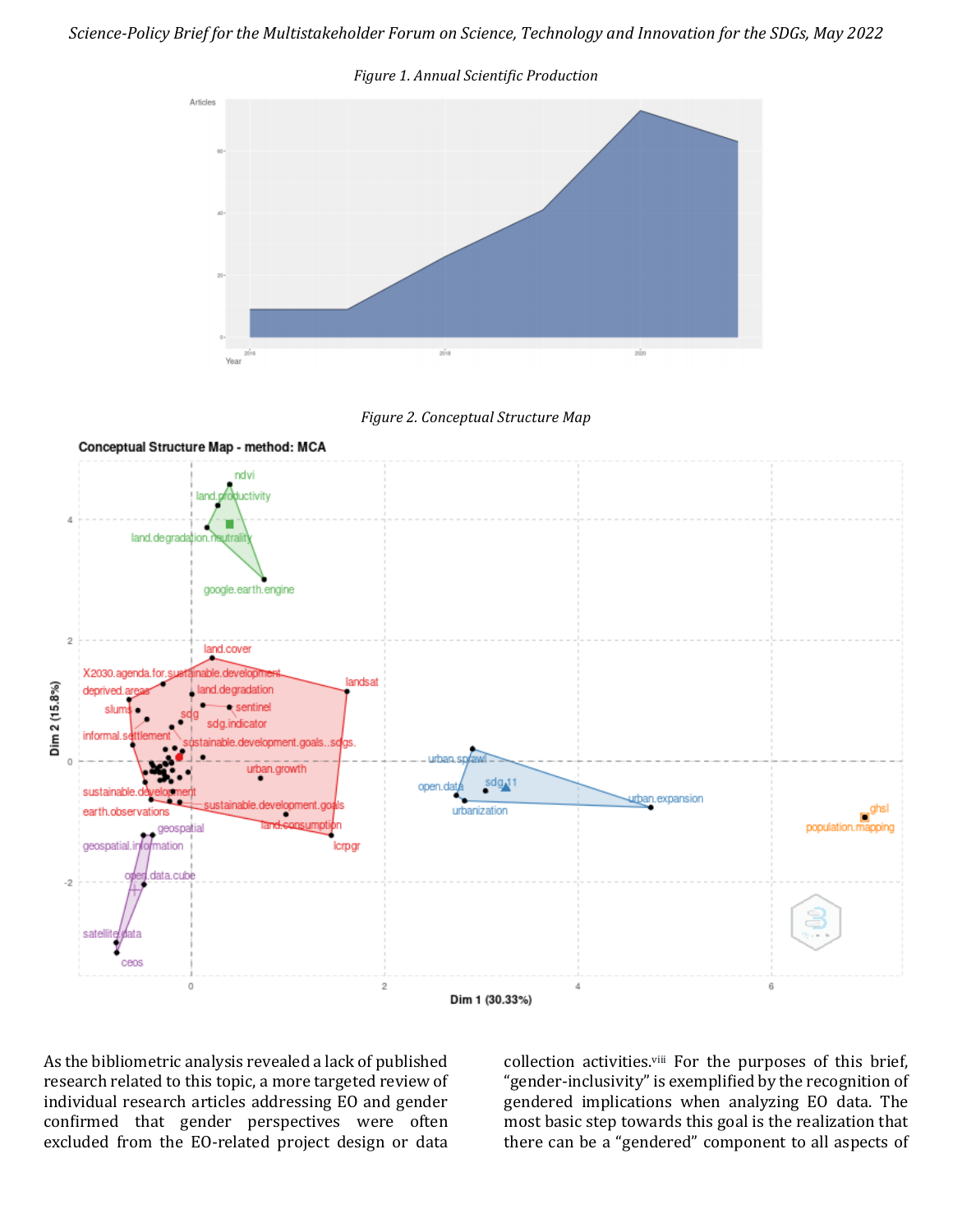







As the bibliometric analysis revealed a lack of published research related to this topic, a more targeted review of individual research articles addressing EO and gender confirmed that gender perspectives were often excluded from the EO-related project design or data

collection activities.viii For the purposes of this brief, "gender-inclusivity" is exemplified by the recognition of gendered implications when analyzing EO data. The most basic step towards this goal is the realization that there can be a "gendered" component to all aspects of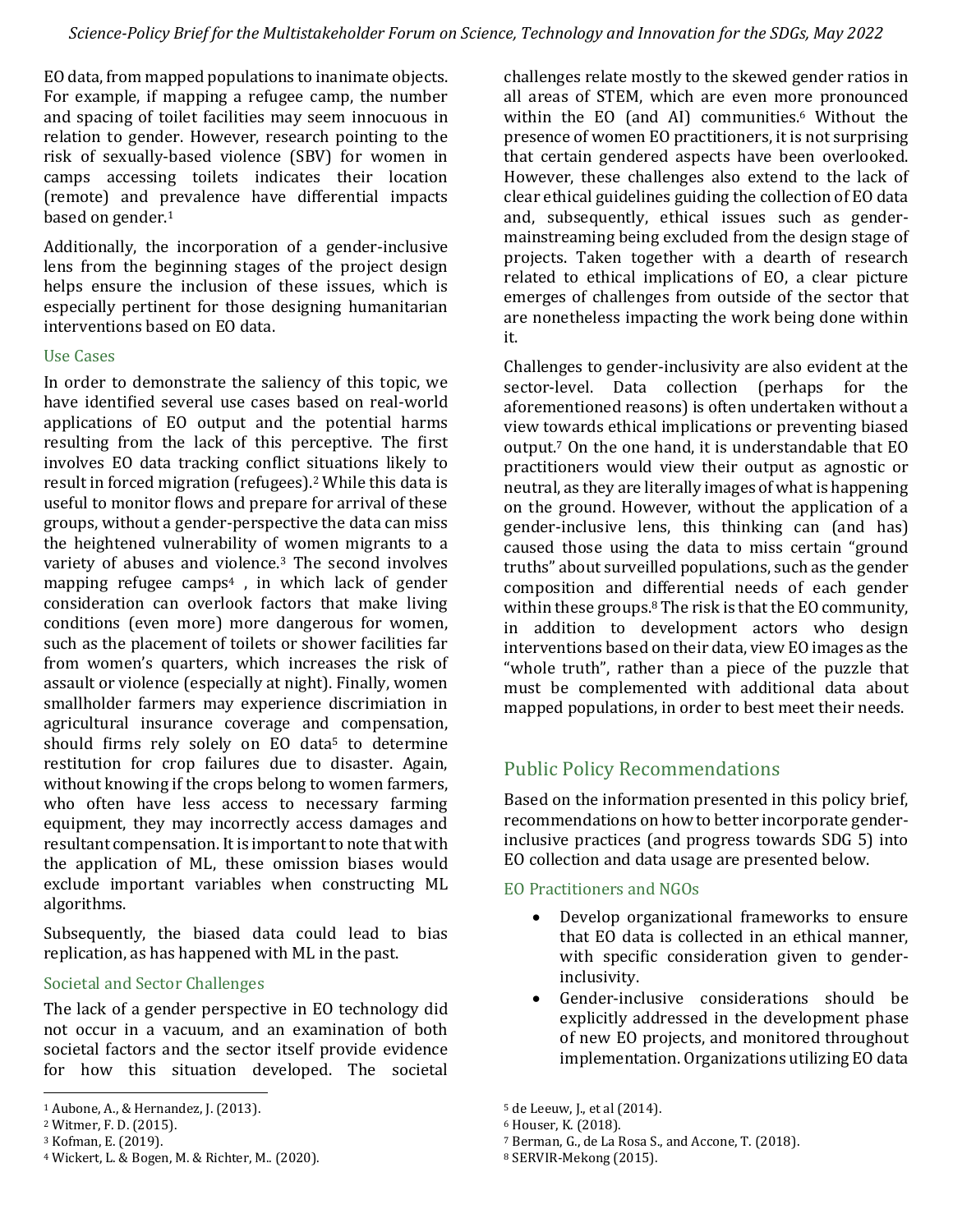EO data, from mapped populations to inanimate objects. For example, if mapping a refugee camp, the number and spacing of toilet facilities may seem innocuous in relation to gender. However, research pointing to the risk of sexually-based violence (SBV) for women in camps accessing toilets indicates their location (remote) and prevalence have differential impacts based on gender.<sup>1</sup>

Additionally, the incorporation of a gender-inclusive lens from the beginning stages of the project design helps ensure the inclusion of these issues, which is especially pertinent for those designing humanitarian interventions based on EO data.

#### Use Cases

In order to demonstrate the saliency of this topic, we have identified several use cases based on real-world applications of EO output and the potential harms resulting from the lack of this perceptive. The first involves EO data tracking conflict situations likely to result in forced migration (refugees).<sup>2</sup> While this data is useful to monitor flows and prepare for arrival of these groups, without a gender-perspective the data can miss the heightened vulnerability of women migrants to a variety of abuses and violence.<sup>3</sup> The second involves mapping refugee camps<sup>4</sup> , in which lack of gender consideration can overlook factors that make living conditions (even more) more dangerous for women, such as the placement of toilets or shower facilities far from women's quarters, which increases the risk of assault or violence (especially at night). Finally, women smallholder farmers may experience discrimiation in agricultural insurance coverage and compensation, should firms rely solely on EO data<sup>5</sup> to determine restitution for crop failures due to disaster. Again, without knowing if the crops belong to women farmers, who often have less access to necessary farming equipment, they may incorrectly access damages and resultant compensation. Itis important to note that with the application of ML, these omission biases would exclude important variables when constructing ML algorithms.

Subsequently, the biased data could lead to bias replication, as has happened with ML in the past.

#### Societal and Sector Challenges

The lack of a gender perspective in EO technology did not occur in a vacuum, and an examination of both societal factors and the sector itself provide evidence for how this situation developed. The societal

challenges relate mostly to the skewed gender ratios in all areas of STEM, which are even more pronounced within the EO (and AI) communities.<sup>6</sup> Without the presence of women EO practitioners, it is not surprising that certain gendered aspects have been overlooked. However, these challenges also extend to the lack of clear ethical guidelines guiding the collection of EO data and, subsequently, ethical issues such as gendermainstreaming being excluded from the design stage of projects. Taken together with a dearth of research related to ethical implications of EO, a clear picture emerges of challenges from outside of the sector that are nonetheless impacting the work being done within it.

Challenges to gender-inclusivity are also evident at the sector-level. Data collection (perhaps for the aforementioned reasons) is often undertaken without a view towards ethical implications or preventing biased output.<sup>7</sup> On the one hand, it is understandable that EO practitioners would view their output as agnostic or neutral, as they are literally images of what is happening on the ground. However, without the application of a gender-inclusive lens, this thinking can (and has) caused those using the data to miss certain "ground truths" about surveilled populations, such as the gender composition and differential needs of each gender within these groups.<sup>8</sup> The risk is that the EO community, in addition to development actors who design interventions based on their data, view EO images as the "whole truth", rather than a piece of the puzzle that must be complemented with additional data about mapped populations, in order to best meet their needs.

# Public Policy Recommendations

Based on the information presented in this policy brief, recommendations on how to better incorporate genderinclusive practices (and progress towards SDG 5) into EO collection and data usage are presented below.

EO Practitioners and NGOs

- Develop organizational frameworks to ensure that EO data is collected in an ethical manner, with specific consideration given to genderinclusivity.
- Gender-inclusive considerations should be explicitly addressed in the development phase of new EO projects, and monitored throughout implementation. Organizations utilizing EO data

<sup>1</sup> Aubone, A., & Hernandez, J. (2013).

<sup>2</sup> Witmer, F. D. (2015).

<sup>3</sup> Kofman, E. (2019).

<sup>4</sup> Wickert, L. & Bogen, M. & Richter, M.. (2020).

<sup>5</sup> de Leeuw, J., et al (2014).

<sup>6</sup> Houser, K. (2018).

<sup>7</sup> Berman, G., de La Rosa S., and Accone, T. (2018).

<sup>8</sup> SERVIR-Mekong (2015).